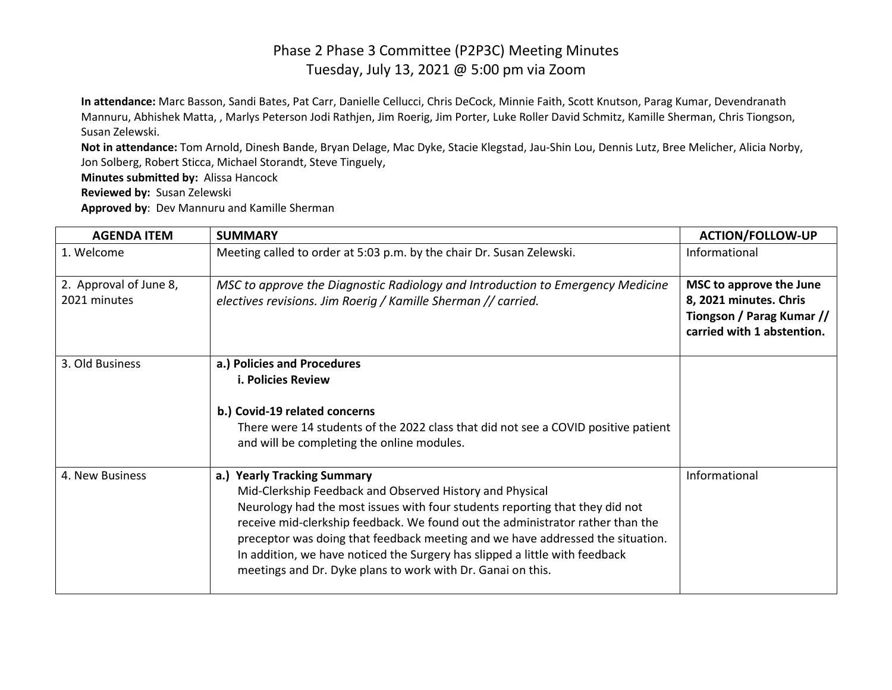**In attendance:** Marc Basson, Sandi Bates, Pat Carr, Danielle Cellucci, Chris DeCock, Minnie Faith, Scott Knutson, Parag Kumar, Devendranath Mannuru, Abhishek Matta, , Marlys Peterson Jodi Rathjen, Jim Roerig, Jim Porter, Luke Roller David Schmitz, Kamille Sherman, Chris Tiongson, Susan Zelewski.

**Not in attendance:** Tom Arnold, Dinesh Bande, Bryan Delage, Mac Dyke, Stacie Klegstad, Jau-Shin Lou, Dennis Lutz, Bree Melicher, Alicia Norby, Jon Solberg, Robert Sticca, Michael Storandt, Steve Tinguely,

**Minutes submitted by:** Alissa Hancock

**Reviewed by:** Susan Zelewski

**Approved by**: Dev Mannuru and Kamille Sherman

| <b>AGENDA ITEM</b>                     | <b>SUMMARY</b>                                                                                                                                                                                                                                                                                                                                                                                                                                                                            | <b>ACTION/FOLLOW-UP</b>                                                                                      |
|----------------------------------------|-------------------------------------------------------------------------------------------------------------------------------------------------------------------------------------------------------------------------------------------------------------------------------------------------------------------------------------------------------------------------------------------------------------------------------------------------------------------------------------------|--------------------------------------------------------------------------------------------------------------|
| 1. Welcome                             | Meeting called to order at 5:03 p.m. by the chair Dr. Susan Zelewski.                                                                                                                                                                                                                                                                                                                                                                                                                     | Informational                                                                                                |
| 2. Approval of June 8,<br>2021 minutes | MSC to approve the Diagnostic Radiology and Introduction to Emergency Medicine<br>electives revisions. Jim Roerig / Kamille Sherman // carried.                                                                                                                                                                                                                                                                                                                                           | MSC to approve the June<br>8, 2021 minutes. Chris<br>Tiongson / Parag Kumar //<br>carried with 1 abstention. |
| 3. Old Business                        | a.) Policies and Procedures<br><b>i. Policies Review</b><br>b.) Covid-19 related concerns<br>There were 14 students of the 2022 class that did not see a COVID positive patient<br>and will be completing the online modules.                                                                                                                                                                                                                                                             |                                                                                                              |
| 4. New Business                        | a.) Yearly Tracking Summary<br>Mid-Clerkship Feedback and Observed History and Physical<br>Neurology had the most issues with four students reporting that they did not<br>receive mid-clerkship feedback. We found out the administrator rather than the<br>preceptor was doing that feedback meeting and we have addressed the situation.<br>In addition, we have noticed the Surgery has slipped a little with feedback<br>meetings and Dr. Dyke plans to work with Dr. Ganai on this. | Informational                                                                                                |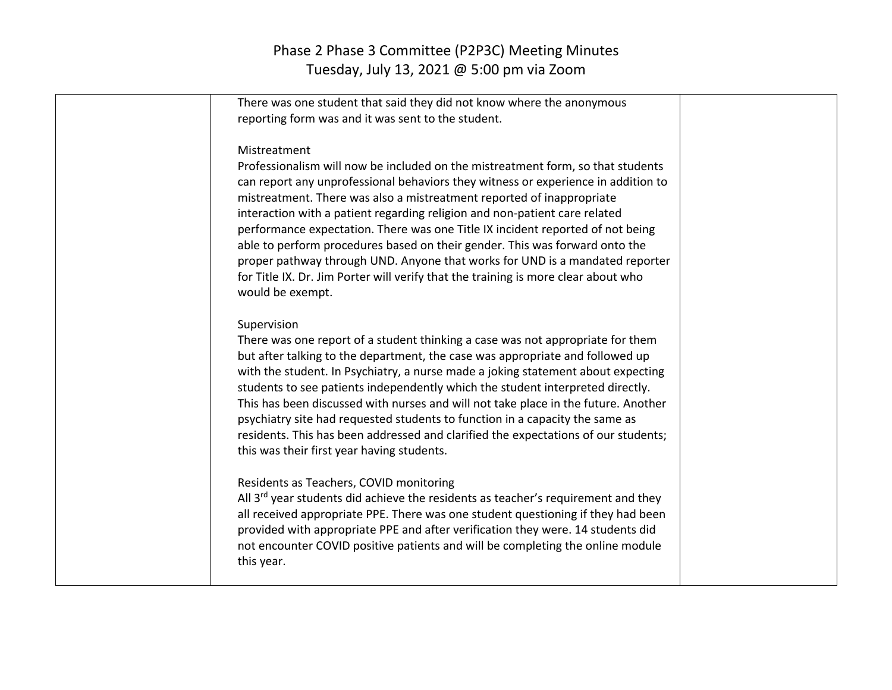| There was one student that said they did not know where the anonymous                         |  |
|-----------------------------------------------------------------------------------------------|--|
| reporting form was and it was sent to the student.                                            |  |
|                                                                                               |  |
| Mistreatment                                                                                  |  |
| Professionalism will now be included on the mistreatment form, so that students               |  |
| can report any unprofessional behaviors they witness or experience in addition to             |  |
| mistreatment. There was also a mistreatment reported of inappropriate                         |  |
| interaction with a patient regarding religion and non-patient care related                    |  |
| performance expectation. There was one Title IX incident reported of not being                |  |
| able to perform procedures based on their gender. This was forward onto the                   |  |
| proper pathway through UND. Anyone that works for UND is a mandated reporter                  |  |
| for Title IX. Dr. Jim Porter will verify that the training is more clear about who            |  |
| would be exempt.                                                                              |  |
|                                                                                               |  |
| Supervision                                                                                   |  |
| There was one report of a student thinking a case was not appropriate for them                |  |
| but after talking to the department, the case was appropriate and followed up                 |  |
| with the student. In Psychiatry, a nurse made a joking statement about expecting              |  |
| students to see patients independently which the student interpreted directly.                |  |
| This has been discussed with nurses and will not take place in the future. Another            |  |
| psychiatry site had requested students to function in a capacity the same as                  |  |
| residents. This has been addressed and clarified the expectations of our students;            |  |
| this was their first year having students.                                                    |  |
|                                                                                               |  |
| Residents as Teachers, COVID monitoring                                                       |  |
| All 3 <sup>rd</sup> year students did achieve the residents as teacher's requirement and they |  |
| all received appropriate PPE. There was one student questioning if they had been              |  |
| provided with appropriate PPE and after verification they were. 14 students did               |  |
| not encounter COVID positive patients and will be completing the online module                |  |
|                                                                                               |  |
| this year.                                                                                    |  |
|                                                                                               |  |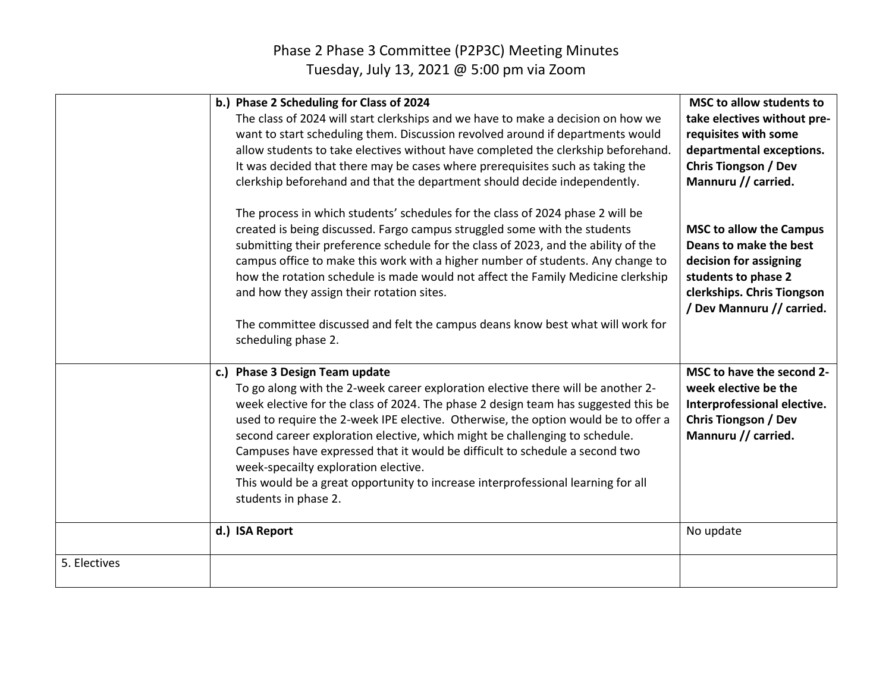|              | b.) Phase 2 Scheduling for Class of 2024<br>The class of 2024 will start clerkships and we have to make a decision on how we<br>want to start scheduling them. Discussion revolved around if departments would<br>allow students to take electives without have completed the clerkship beforehand.<br>It was decided that there may be cases where prerequisites such as taking the<br>clerkship beforehand and that the department should decide independently.                                                                                                                                                | <b>MSC to allow students to</b><br>take electives without pre-<br>requisites with some<br>departmental exceptions.<br><b>Chris Tiongson / Dev</b><br>Mannuru // carried. |
|--------------|------------------------------------------------------------------------------------------------------------------------------------------------------------------------------------------------------------------------------------------------------------------------------------------------------------------------------------------------------------------------------------------------------------------------------------------------------------------------------------------------------------------------------------------------------------------------------------------------------------------|--------------------------------------------------------------------------------------------------------------------------------------------------------------------------|
|              | The process in which students' schedules for the class of 2024 phase 2 will be<br>created is being discussed. Fargo campus struggled some with the students<br>submitting their preference schedule for the class of 2023, and the ability of the<br>campus office to make this work with a higher number of students. Any change to<br>how the rotation schedule is made would not affect the Family Medicine clerkship<br>and how they assign their rotation sites.<br>The committee discussed and felt the campus deans know best what will work for<br>scheduling phase 2.                                   | <b>MSC to allow the Campus</b><br>Deans to make the best<br>decision for assigning<br>students to phase 2<br>clerkships. Chris Tiongson<br>/ Dev Mannuru // carried.     |
|              | c.) Phase 3 Design Team update<br>To go along with the 2-week career exploration elective there will be another 2-<br>week elective for the class of 2024. The phase 2 design team has suggested this be<br>used to require the 2-week IPE elective. Otherwise, the option would be to offer a<br>second career exploration elective, which might be challenging to schedule.<br>Campuses have expressed that it would be difficult to schedule a second two<br>week-specailty exploration elective.<br>This would be a great opportunity to increase interprofessional learning for all<br>students in phase 2. | MSC to have the second 2-<br>week elective be the<br>Interprofessional elective.<br><b>Chris Tiongson / Dev</b><br>Mannuru // carried.                                   |
|              | d.) ISA Report                                                                                                                                                                                                                                                                                                                                                                                                                                                                                                                                                                                                   | No update                                                                                                                                                                |
| 5. Electives |                                                                                                                                                                                                                                                                                                                                                                                                                                                                                                                                                                                                                  |                                                                                                                                                                          |